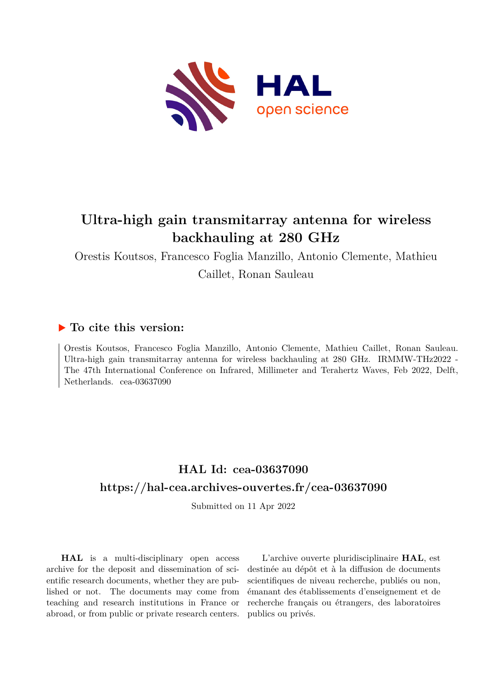

# **Ultra-high gain transmitarray antenna for wireless backhauling at 280 GHz**

Orestis Koutsos, Francesco Foglia Manzillo, Antonio Clemente, Mathieu Caillet, Ronan Sauleau

### **To cite this version:**

Orestis Koutsos, Francesco Foglia Manzillo, Antonio Clemente, Mathieu Caillet, Ronan Sauleau. Ultra-high gain transmitarray antenna for wireless backhauling at 280 GHz. IRMMW-THz2022 - The 47th International Conference on Infrared, Millimeter and Terahertz Waves, Feb 2022, Delft, Netherlands. cea-03637090

## **HAL Id: cea-03637090 <https://hal-cea.archives-ouvertes.fr/cea-03637090>**

Submitted on 11 Apr 2022

**HAL** is a multi-disciplinary open access archive for the deposit and dissemination of scientific research documents, whether they are published or not. The documents may come from teaching and research institutions in France or abroad, or from public or private research centers.

L'archive ouverte pluridisciplinaire **HAL**, est destinée au dépôt et à la diffusion de documents scientifiques de niveau recherche, publiés ou non, émanant des établissements d'enseignement et de recherche français ou étrangers, des laboratoires publics ou privés.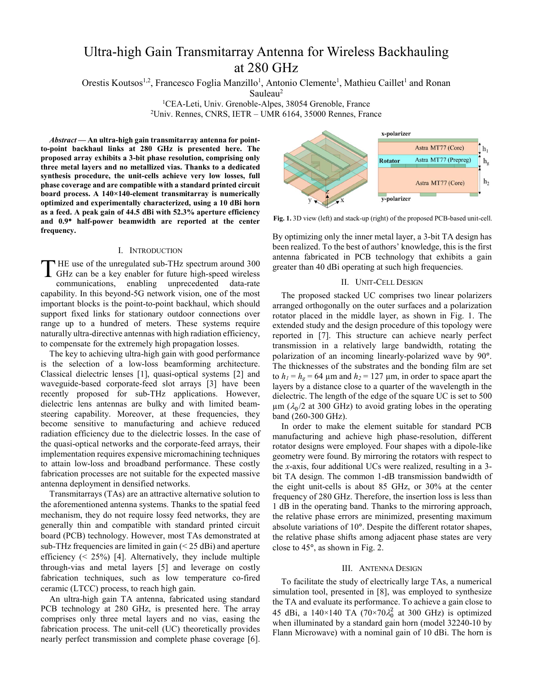## Ultra-high Gain Transmitarray Antenna for Wireless Backhauling at 280 GHz

Orestis Koutsos<sup>1,2</sup>, Francesco Foglia Manzillo<sup>1</sup>, Antonio Clemente<sup>1</sup>, Mathieu Caillet<sup>1</sup> and Ronan

Sauleau<sup>2</sup>

<sup>1</sup>CEA-Leti, Univ. Grenoble-Alpes, 38054 Grenoble, France <sup>2</sup>Univ. Rennes, CNRS, IETR – UMR 6164, 35000 Rennes, France

*Abstract* **— An ultra-high gain transmitarray antenna for pointto-point backhaul links at 280 GHz is presented here. The proposed array exhibits a 3-bit phase resolution, comprising only three metal layers and no metallized vias. Thanks to a dedicated synthesis procedure, the unit-cells achieve very low losses, full phase coverage and are compatible with a standard printed circuit board process. A 140×140-element transmitarray is numerically optimized and experimentally characterized, using a 10 dBi horn as a feed. A peak gain of 44.5 dBi with 52.3% aperture efficiency and 0.9**° **half-power beamwidth are reported at the center frequency.** 

#### I. INTRODUCTION

THE use of the unregulated sub-THz spectrum around 300<br>
GHz can be a key enabler for future high-speed wireless GHz can be a key enabler for future high-speed wireless communications, enabling unprecedented data-rate capability. In this beyond-5G network vision, one of the most important blocks is the point-to-point backhaul, which should support fixed links for stationary outdoor connections over range up to a hundred of meters. These systems require naturally ultra-directive antennas with high radiation efficiency, to compensate for the extremely high propagation losses.

The key to achieving ultra-high gain with good performance is the selection of a low-loss beamforming architecture. Classical dielectric lenses [1], quasi-optical systems [2] and waveguide-based corporate-feed slot arrays [3] have been recently proposed for sub-THz applications. However, dielectric lens antennas are bulky and with limited beamsteering capability. Moreover, at these frequencies, they become sensitive to manufacturing and achieve reduced radiation efficiency due to the dielectric losses. In the case of the quasi-optical networks and the corporate-feed arrays, their implementation requires expensive micromachining techniques to attain low-loss and broadband performance. These costly fabrication processes are not suitable for the expected massive antenna deployment in densified networks.

Transmitarrays (TAs) are an attractive alternative solution to the aforementioned antenna systems. Thanks to the spatial feed mechanism, they do not require lossy feed networks, they are generally thin and compatible with standard printed circuit board (PCB) technology. However, most TAs demonstrated at sub-THz frequencies are limited in gain  $(< 25$  dBi) and aperture efficiency  $(25%)$  [4]. Alternatively, they include multiple through-vias and metal layers [5] and leverage on costly fabrication techniques, such as low temperature co-fired ceramic (LTCC) process, to reach high gain.

An ultra-high gain TA antenna, fabricated using standard PCB technology at 280 GHz, is presented here. The array comprises only three metal layers and no vias, easing the fabrication process. The unit-cell (UC) theoretically provides nearly perfect transmission and complete phase coverage [6].



**Fig. 1.** 3D view (left) and stack-up (right) of the proposed PCB-based unit-cell.

By optimizing only the inner metal layer, a 3-bit TA design has been realized. To the best of authors' knowledge, this is the first antenna fabricated in PCB technology that exhibits a gain greater than 40 dBi operating at such high frequencies.

#### II. UNIT-CELL DESIGN

The proposed stacked UC comprises two linear polarizers arranged orthogonally on the outer surfaces and a polarization rotator placed in the middle layer, as shown in Fig. 1. The extended study and the design procedure of this topology were reported in [7]. This structure can achieve nearly perfect transmission in a relatively large bandwidth, rotating the polarization of an incoming linearly-polarized wave by 90°. The thicknesses of the substrates and the bonding film are set to  $h_1 = h_g = 64$  µm and  $h_2 = 127$  µm, in order to space apart the layers by a distance close to a quarter of the wavelength in the dielectric. The length of the edge of the square UC is set to 500  $\mu$ m ( $\lambda_0/2$  at 300 GHz) to avoid grating lobes in the operating band (260-300 GHz).

In order to make the element suitable for standard PCB manufacturing and achieve high phase-resolution, different rotator designs were employed. Four shapes with a dipole-like geometry were found. By mirroring the rotators with respect to the *x*-axis, four additional UCs were realized, resulting in a 3 bit TA design. The common 1-dB transmission bandwidth of the eight unit-cells is about 85 GHz, or 30% at the center frequency of 280 GHz. Therefore, the insertion loss is less than 1 dB in the operating band. Thanks to the mirroring approach, the relative phase errors are minimized, presenting maximum absolute variations of 10°. Despite the different rotator shapes, the relative phase shifts among adjacent phase states are very close to 45°, as shown in Fig. 2.

#### III. ANTENNA DESIGN

To facilitate the study of electrically large TAs, a numerical simulation tool, presented in [8], was employed to synthesize the TA and evaluate its performance. To achieve a gain close to 45 dBi, a 140×140 TA (70×70 $\lambda_0^2$  at 300 GHz) is optimized when illuminated by a standard gain horn (model 32240-10 by Flann Microwave) with a nominal gain of 10 dBi. The horn is